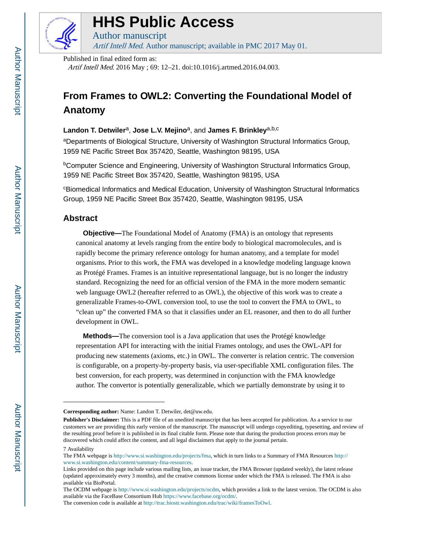

# **HHS Public Access**

Author manuscript Artif Intell Med. Author manuscript; available in PMC 2017 May 01.

Published in final edited form as:

Artif Intell Med. 2016 May ; 69: 12–21. doi:10.1016/j.artmed.2016.04.003.

## **From Frames to OWL2: Converting the Foundational Model of Anatomy**

## Landon T. Detwiler<sup>a</sup>, Jose L.V. Mejino<sup>a</sup>, and James F. Brinkley<sup>a,b,c</sup>

aDepartments of Biological Structure, University of Washington Structural Informatics Group, 1959 NE Pacific Street Box 357420, Seattle, Washington 98195, USA

<sup>b</sup>Computer Science and Engineering, University of Washington Structural Informatics Group, 1959 NE Pacific Street Box 357420, Seattle, Washington 98195, USA

**CBiomedical Informatics and Medical Education, University of Washington Structural Informatics** Group, 1959 NE Pacific Street Box 357420, Seattle, Washington 98195, USA

## **Abstract**

**Objective—**The Foundational Model of Anatomy (FMA) is an ontology that represents canonical anatomy at levels ranging from the entire body to biological macromolecules, and is rapidly become the primary reference ontology for human anatomy, and a template for model organisms. Prior to this work, the FMA was developed in a knowledge modeling language known as Protégé Frames. Frames is an intuitive representational language, but is no longer the industry standard. Recognizing the need for an official version of the FMA in the more modern semantic web language OWL2 (hereafter referred to as OWL), the objective of this work was to create a generalizable Frames-to-OWL conversion tool, to use the tool to convert the FMA to OWL, to "clean up" the converted FMA so that it classifies under an EL reasoner, and then to do all further development in OWL.

 **Methods—**The conversion tool is a Java application that uses the Protégé knowledge representation API for interacting with the initial Frames ontology, and uses the OWL-API for producing new statements (axioms, etc.) in OWL. The converter is relation centric. The conversion is configurable, on a property-by-property basis, via user-specifiable XML configuration files. The best conversion, for each property, was determined in conjunction with the FMA knowledge author. The convertor is potentially generalizable, which we partially demonstrate by using it to

7 Availability

**Corresponding author:** Name: Landon T. Detwiler, det@uw.edu.

**Publisher's Disclaimer:** This is a PDF file of an unedited manuscript that has been accepted for publication. As a service to our customers we are providing this early version of the manuscript. The manuscript will undergo copyediting, typesetting, and review of the resulting proof before it is published in its final citable form. Please note that during the production process errors may be discovered which could affect the content, and all legal disclaimers that apply to the journal pertain.

The FMA webpage is <http://www.si.washington.edu/projects/fma>, which in turn links to a Summary of FMA Resources [http://](http://www.si.washington.edu/content/summary-fma-resources) [www.si.washington.edu/content/summary-fma-resources](http://www.si.washington.edu/content/summary-fma-resources).

Links provided on this page include various mailing lists, an issue tracker, the FMA Browser (updated weekly), the latest release (updated approximately every 3 months), and the creative commons license under which the FMA is released. The FMA is also available via BioPortal.

The OCDM webpage is<http://www.si.washington.edu/projects/ocdm>, which provides a link to the latest version. The OCDM is also available via the FaceBase Consortium Hub [https://www.facebase.org/ocdm/](http://https://www.facebase.org/ocdm/).

The conversion code is available at [http://trac.biostr.washington.edu/trac/wiki/framesToOwl.](http://trac.biostr.washington.edu/trac/wiki/framesToOwl)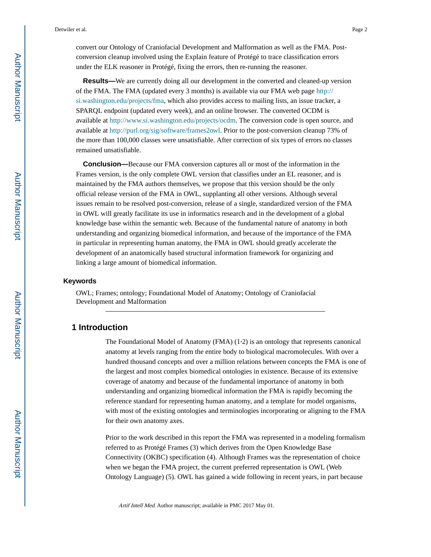**Results—**We are currently doing all our development in the converted and cleaned-up version of the FMA. The FMA (updated every 3 months) is available via our FMA web page [http://](http://si.washington.edu/projects/fma) [si.washington.edu/projects/fma,](http://si.washington.edu/projects/fma) which also provides access to mailing lists, an issue tracker, a SPARQL endpoint (updated every week), and an online browser. The converted OCDM is available at [http://www.si.washington.edu/projects/ocdm.](http://www.si.washington.edu/projects/ocdm) The conversion code is open source, and available at [http://purl.org/sig/software/frames2owl.](http://purl.org/sig/software/frames2owl) Prior to the post-conversion cleanup 73% of the more than 100,000 classes were unsatisfiable. After correction of six types of errors no classes remained unsatisfiable.

 **Conclusion—**Because our FMA conversion captures all or most of the information in the Frames version, is the only complete OWL version that classifies under an EL reasoner, and is maintained by the FMA authors themselves, we propose that this version should be the only official release version of the FMA in OWL, supplanting all other versions. Although several issues remain to be resolved post-conversion, release of a single, standardized version of the FMA in OWL will greatly facilitate its use in informatics research and in the development of a global knowledge base within the semantic web. Because of the fundamental nature of anatomy in both understanding and organizing biomedical information, and because of the importance of the FMA in particular in representing human anatomy, the FMA in OWL should greatly accelerate the development of an anatomically based structural information framework for organizing and linking a large amount of biomedical information.

#### **Keywords**

OWL; Frames; ontology; Foundational Model of Anatomy; Ontology of Craniofacial Development and Malformation

## **1 Introduction**

The Foundational Model of Anatomy  $(FMA)$   $(1·2)$  is an ontology that represents canonical anatomy at levels ranging from the entire body to biological macromolecules. With over a hundred thousand concepts and over a million relations between concepts the FMA is one of the largest and most complex biomedical ontologies in existence. Because of its extensive coverage of anatomy and because of the fundamental importance of anatomy in both understanding and organizing biomedical information the FMA is rapidly becoming the reference standard for representing human anatomy, and a template for model organisms, with most of the existing ontologies and terminologies incorporating or aligning to the FMA for their own anatomy axes.

Prior to the work described in this report the FMA was represented in a modeling formalism referred to as Protégé Frames (3) which derives from the Open Knowledge Base Connectivity (OKBC) specification (4). Although Frames was the representation of choice when we began the FMA project, the current preferred representation is OWL (Web Ontology Language) (5). OWL has gained a wide following in recent years, in part because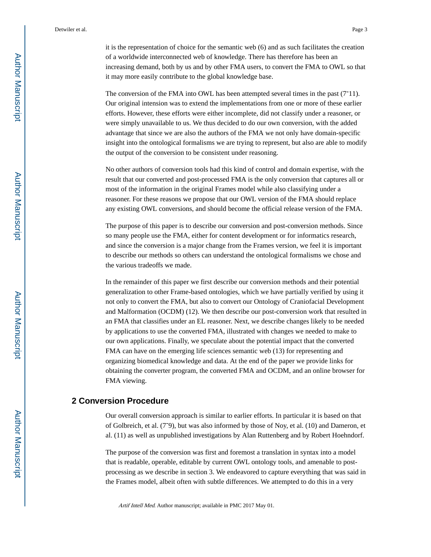it is the representation of choice for the semantic web (6) and as such facilitates the creation of a worldwide interconnected web of knowledge. There has therefore has been an increasing demand, both by us and by other FMA users, to convert the FMA to OWL so that it may more easily contribute to the global knowledge base.

The conversion of the FMA into OWL has been attempted several times in the past (7<sup>-11</sup>). Our original intension was to extend the implementations from one or more of these earlier efforts. However, these efforts were either incomplete, did not classify under a reasoner, or were simply unavailable to us. We thus decided to do our own conversion, with the added advantage that since we are also the authors of the FMA we not only have domain-specific insight into the ontological formalisms we are trying to represent, but also are able to modify the output of the conversion to be consistent under reasoning.

No other authors of conversion tools had this kind of control and domain expertise, with the result that our converted and post-processed FMA is the only conversion that captures all or most of the information in the original Frames model while also classifying under a reasoner. For these reasons we propose that our OWL version of the FMA should replace any existing OWL conversions, and should become the official release version of the FMA.

The purpose of this paper is to describe our conversion and post-conversion methods. Since so many people use the FMA, either for content development or for informatics research, and since the conversion is a major change from the Frames version, we feel it is important to describe our methods so others can understand the ontological formalisms we chose and the various tradeoffs we made.

In the remainder of this paper we first describe our conversion methods and their potential generalization to other Frame-based ontologies, which we have partially verified by using it not only to convert the FMA, but also to convert our Ontology of Craniofacial Development and Malformation (OCDM) (12). We then describe our post-conversion work that resulted in an FMA that classifies under an EL reasoner. Next, we describe changes likely to be needed by applications to use the converted FMA, illustrated with changes we needed to make to our own applications. Finally, we speculate about the potential impact that the converted FMA can have on the emerging life sciences semantic web (13) for representing and organizing biomedical knowledge and data. At the end of the paper we provide links for obtaining the converter program, the converted FMA and OCDM, and an online browser for FMA viewing.

## **2 Conversion Procedure**

Our overall conversion approach is similar to earlier efforts. In particular it is based on that of Golbreich, et al. (7<sup>-9</sup>), but was also informed by those of Noy, et al. (10) and Dameron, et al. (11) as well as unpublished investigations by Alan Ruttenberg and by Robert Hoehndorf.

The purpose of the conversion was first and foremost a translation in syntax into a model that is readable, operable, editable by current OWL ontology tools, and amenable to postprocessing as we describe in section 3. We endeavored to capture everything that was said in the Frames model, albeit often with subtle differences. We attempted to do this in a very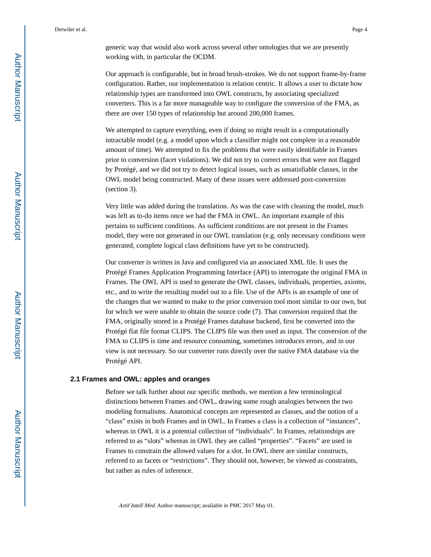generic way that would also work across several other ontologies that we are presently working with, in particular the OCDM.

Our approach is configurable, but in broad brush-strokes. We do not support frame-by-frame configuration. Rather, our implementation is relation centric. It allows a user to dictate how relationship types are transformed into OWL constructs, by associating specialized converters. This is a far more manageable way to configure the conversion of the FMA, as there are over 150 types of relationship but around 200,000 frames.

We attempted to capture everything, even if doing so might result in a computationally intractable model (e.g. a model upon which a classifier might not complete in a reasonable amount of time). We attempted to fix the problems that were easily identifiable in Frames prior to conversion (facet violations). We did not try to correct errors that were not flagged by Protégé, and we did not try to detect logical issues, such as unsatisfiable classes, in the OWL model being constructed. Many of these issues were addressed post-conversion (section 3).

Very little was added during the translation. As was the case with cleaning the model, much was left as to-do items once we had the FMA in OWL. An important example of this pertains to sufficient conditions. As sufficient conditions are not present in the Frames model, they were not generated in our OWL translation (e.g. only necessary conditions were generated, complete logical class definitions have yet to be constructed).

Our converter is written in Java and configured via an associated XML file. It uses the Protégé Frames Application Programming Interface (API) to interrogate the original FMA in Frames. The OWL API is used to generate the OWL classes, individuals, properties, axioms, etc., and to write the resulting model out to a file. Use of the APIs is an example of one of the changes that we wanted to make to the prior conversion tool most similar to our own, but for which we were unable to obtain the source code (7). That conversion required that the FMA, originally stored in a Protégé Frames database backend, first be converted into the Protégé flat file format CLIPS. The CLIPS file was then used as input. The conversion of the FMA to CLIPS is time and resource consuming, sometimes introduces errors, and in our view is not necessary. So our converter runs directly over the native FMA database via the Protégé API.

#### **2.1 Frames and OWL: apples and oranges**

Before we talk further about our specific methods, we mention a few terminological distinctions between Frames and OWL, drawing some rough analogies between the two modeling formalisms. Anatomical concepts are represented as classes, and the notion of a "class" exists in both Frames and in OWL. In Frames a class is a collection of "instances", whereas in OWL it is a potential collection of "individuals". In Frames, relationships are referred to as "slots" whereas in OWL they are called "properties". "Facets" are used in Frames to constrain the allowed values for a slot. In OWL there are similar constructs, referred to as facets or "restrictions". They should not, however, be viewed as constraints, but rather as rules of inference.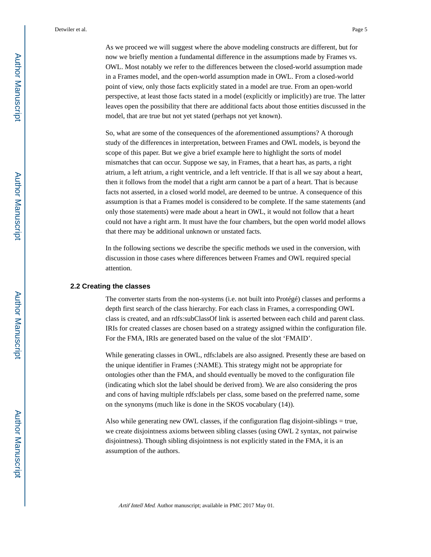As we proceed we will suggest where the above modeling constructs are different, but for now we briefly mention a fundamental difference in the assumptions made by Frames vs. OWL. Most notably we refer to the differences between the closed-world assumption made in a Frames model, and the open-world assumption made in OWL. From a closed-world point of view, only those facts explicitly stated in a model are true. From an open-world perspective, at least those facts stated in a model (explicitly or implicitly) are true. The latter leaves open the possibility that there are additional facts about those entities discussed in the model, that are true but not yet stated (perhaps not yet known).

So, what are some of the consequences of the aforementioned assumptions? A thorough study of the differences in interpretation, between Frames and OWL models, is beyond the scope of this paper. But we give a brief example here to highlight the sorts of model mismatches that can occur. Suppose we say, in Frames, that a heart has, as parts, a right atrium, a left atrium, a right ventricle, and a left ventricle. If that is all we say about a heart, then it follows from the model that a right arm cannot be a part of a heart. That is because facts not asserted, in a closed world model, are deemed to be untrue. A consequence of this assumption is that a Frames model is considered to be complete. If the same statements (and only those statements) were made about a heart in OWL, it would not follow that a heart could not have a right arm. It must have the four chambers, but the open world model allows that there may be additional unknown or unstated facts.

In the following sections we describe the specific methods we used in the conversion, with discussion in those cases where differences between Frames and OWL required special attention.

#### **2.2 Creating the classes**

The converter starts from the non-systems (i.e. not built into Protégé) classes and performs a depth first search of the class hierarchy. For each class in Frames, a corresponding OWL class is created, and an rdfs:subClassOf link is asserted between each child and parent class. IRIs for created classes are chosen based on a strategy assigned within the configuration file. For the FMA, IRIs are generated based on the value of the slot 'FMAID'.

While generating classes in OWL, rdfs:labels are also assigned. Presently these are based on the unique identifier in Frames (:NAME). This strategy might not be appropriate for ontologies other than the FMA, and should eventually be moved to the configuration file (indicating which slot the label should be derived from). We are also considering the pros and cons of having multiple rdfs:labels per class, some based on the preferred name, some on the synonyms (much like is done in the SKOS vocabulary (14)).

Also while generating new OWL classes, if the configuration flag disjoint-siblings = true, we create disjointness axioms between sibling classes (using OWL 2 syntax, not pairwise disjointness). Though sibling disjointness is not explicitly stated in the FMA, it is an assumption of the authors.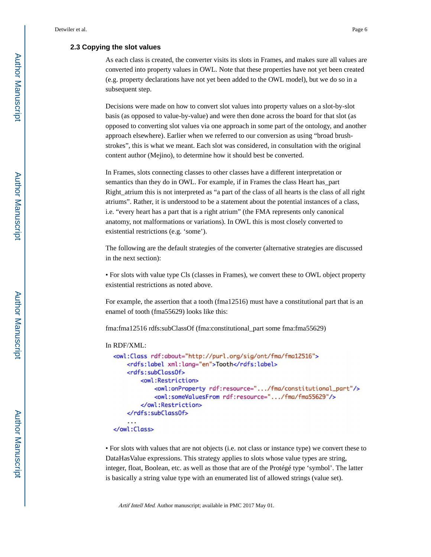#### **2.3 Copying the slot values**

As each class is created, the converter visits its slots in Frames, and makes sure all values are converted into property values in OWL. Note that these properties have not yet been created (e.g. property declarations have not yet been added to the OWL model), but we do so in a subsequent step.

Decisions were made on how to convert slot values into property values on a slot-by-slot basis (as opposed to value-by-value) and were then done across the board for that slot (as opposed to converting slot values via one approach in some part of the ontology, and another approach elsewhere). Earlier when we referred to our conversion as using "broad brushstrokes", this is what we meant. Each slot was considered, in consultation with the original content author (Mejino), to determine how it should best be converted.

In Frames, slots connecting classes to other classes have a different interpretation or semantics than they do in OWL. For example, if in Frames the class Heart has\_part Right\_atrium this is not interpreted as "a part of the class of all hearts is the class of all right atriums". Rather, it is understood to be a statement about the potential instances of a class, i.e. "every heart has a part that is a right atrium" (the FMA represents only canonical anatomy, not malformations or variations). In OWL this is most closely converted to existential restrictions (e.g. 'some').

The following are the default strategies of the converter (alternative strategies are discussed in the next section):

• For slots with value type Cls (classes in Frames), we convert these to OWL object property existential restrictions as noted above.

For example, the assertion that a tooth (fma12516) must have a constitutional part that is an enamel of tooth (fma55629) looks like this:

fma:fma12516 rdfs:subClassOf (fma:constitutional\_part some fma:fma55629)

#### In RDF/XML:

```
<owl:Class rdf:about="http://purl.org/sig/ont/fma/fma12516">
    <rdfs:label xml:lang="en">Tooth</rdfs:label>
    <rdfs:subClass0f>
        <owl:Restriction>
            <owl:onProperty rdf:resource=".../fma/constitutional_part"/>
            <owl:someValuesFrom rdf:resource=".../fma/fma55629"/>
        </owl:Restriction>
   </rdfs:subClassOf>
</owl:Class>
```
• For slots with values that are not objects (i.e. not class or instance type) we convert these to DataHasValue expressions. This strategy applies to slots whose value types are string, integer, float, Boolean, etc. as well as those that are of the Protégé type 'symbol'. The latter is basically a string value type with an enumerated list of allowed strings (value set).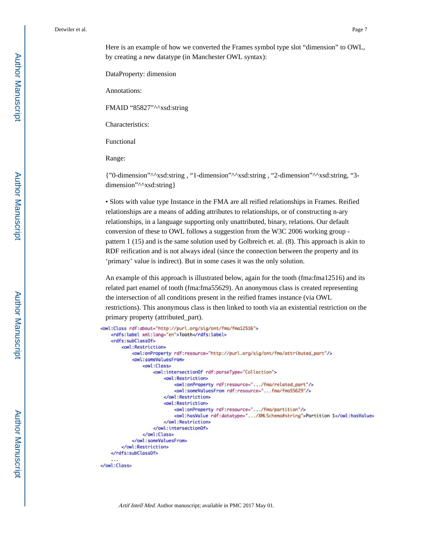Here is an example of how we converted the Frames symbol type slot "dimension" to OWL, by creating a new datatype (in Manchester OWL syntax):

DataProperty: dimension

Annotations:

FMAID "85827"^^xsd:string

Characteristics:

Functional

Range:

{"0-dimension"^^xsd:string , "1-dimension"^^xsd:string , "2-dimension"^^xsd:string, "3 dimension"^^xsd:string}

• Slots with value type Instance in the FMA are all reified relationships in Frames. Reified relationships are a means of adding attributes to relationships, or of constructing n-ary relationships, in a language supporting only unattributed, binary, relations. Our default conversion of these to OWL follows a suggestion from the W3C 2006 working group pattern 1 (15) and is the same solution used by Golbreich et. al. (8). This approach is akin to RDF reification and is not always ideal (since the connection between the property and its 'primary' value is indirect). But in some cases it was the only solution.

An example of this approach is illustrated below, again for the tooth (fma:fma12516) and its related part enamel of tooth (fma:fma55629). An anonymous class is created representing the intersection of all conditions present in the reified frames instance (via OWL restrictions). This anonymous class is then linked to tooth via an existential restriction on the primary property (attributed\_part).

```
<owl:Class rdf:about="http://purl.org/sig/ont/fma/fma12516">
   <rdfs:label xml:lang="en">Tooth</rdfs:label>
   <rdfs:subClass0f>
       <owl:Restriction>
            <owl:onProperty rdf:resource="http://purl.org/sig/ont/fma/attributed_part"/>
            <owl:someValuesFrom>
                <owl:Class>
                    <owl:intersectionOf rdf:parseType="Collection">
                        <owl:Restriction>
                            <owl:onProperty rdf:resource=".../fma/related_part"/>
                            <owl:someValuesFrom rdf:resource="...fma/fma55629"/>
                        </owl:Restriction>
                        <owl:Restriction>
                            <owl:onProperty rdf:resource=".../fma/partition"/>
                            <owl:hasValue rdf:datatype=".../XMLSchema#string">Partition 1</owl:hasValue>
                        </owl:Restriction>
                    </owl:intersectionOf>
                </owl:Class>
            </owl:someValuesFrom>
       </owl:Restriction>
   </rdfs:subClass0f>
</owl:Class>
```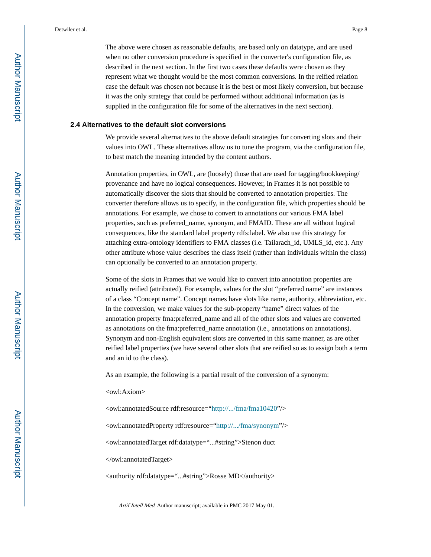The above were chosen as reasonable defaults, are based only on datatype, and are used when no other conversion procedure is specified in the converter's configuration file, as described in the next section. In the first two cases these defaults were chosen as they represent what we thought would be the most common conversions. In the reified relation case the default was chosen not because it is the best or most likely conversion, but because it was the only strategy that could be performed without additional information (as is supplied in the configuration file for some of the alternatives in the next section).

#### **2.4 Alternatives to the default slot conversions**

We provide several alternatives to the above default strategies for converting slots and their values into OWL. These alternatives allow us to tune the program, via the configuration file, to best match the meaning intended by the content authors.

Annotation properties, in OWL, are (loosely) those that are used for tagging/bookkeeping/ provenance and have no logical consequences. However, in Frames it is not possible to automatically discover the slots that should be converted to annotation properties. The converter therefore allows us to specify, in the configuration file, which properties should be annotations. For example, we chose to convert to annotations our various FMA label properties, such as preferred\_name, synonym, and FMAID. These are all without logical consequences, like the standard label property rdfs:label. We also use this strategy for attaching extra-ontology identifiers to FMA classes (i.e. Tailarach\_id, UMLS\_id, etc.). Any other attribute whose value describes the class itself (rather than individuals within the class) can optionally be converted to an annotation property.

Some of the slots in Frames that we would like to convert into annotation properties are actually reified (attributed). For example, values for the slot "preferred name" are instances of a class "Concept name". Concept names have slots like name, authority, abbreviation, etc. In the conversion, we make values for the sub-property "name" direct values of the annotation property fma:preferred\_name and all of the other slots and values are converted as annotations on the fma:preferred\_name annotation (i.e., annotations on annotations). Synonym and non-English equivalent slots are converted in this same manner, as are other reified label properties (we have several other slots that are reified so as to assign both a term and an id to the class).

As an example, the following is a partial result of the conversion of a synonym:

<owl:Axiom>

<owl:annotatedSource rdf:resource="[http://.../fma/fma10420"](http://.../fma/fma10420)/>

<owl:annotatedProperty rdf:resource=["http://.../fma/synonym](http://.../fma/synonym)"/>

<owl:annotatedTarget rdf:datatype="...#string">Stenon duct

</owl:annotatedTarget>

<authority rdf:datatype="...#string">Rosse MD</authority>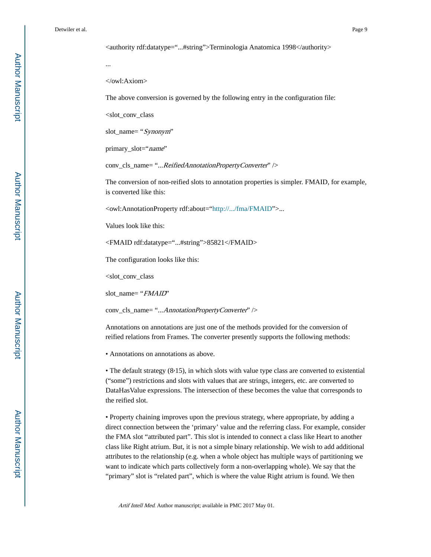...

#### </owl:Axiom>

The above conversion is governed by the following entry in the configuration file:

<slot\_conv\_class

slot\_name= "Synonym"

primary\_slot="name"

conv\_cls\_name= "...ReifiedAnnotationPropertyConverter" />

The conversion of non-reified slots to annotation properties is simpler. FMAID, for example, is converted like this:

<owl:AnnotationProperty rdf:about="[http://.../fma/FMAID"](http://.../fma/FMAID)>...

Values look like this:

<FMAID rdf:datatype="...#string">85821</FMAID>

The configuration looks like this:

<slot\_conv\_class

slot\_name= "FMAID"

conv\_cls\_name= "...AnnotationPropertyConverter" />

Annotations on annotations are just one of the methods provided for the conversion of reified relations from Frames. The converter presently supports the following methods:

• Annotations on annotations as above.

• The default strategy (8.15), in which slots with value type class are converted to existential ("some") restrictions and slots with values that are strings, integers, etc. are converted to DataHasValue expressions. The intersection of these becomes the value that corresponds to the reified slot.

• Property chaining improves upon the previous strategy, where appropriate, by adding a direct connection between the 'primary' value and the referring class. For example, consider the FMA slot "attributed part". This slot is intended to connect a class like Heart to another class like Right atrium. But, it is not a simple binary relationship. We wish to add additional attributes to the relationship (e.g. when a whole object has multiple ways of partitioning we want to indicate which parts collectively form a non-overlapping whole). We say that the "primary" slot is "related part", which is where the value Right atrium is found. We then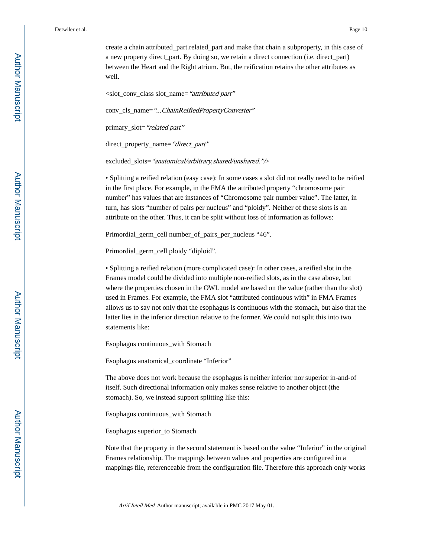create a chain attributed\_part.related\_part and make that chain a subproperty, in this case of a new property direct\_part. By doing so, we retain a direct connection (i.e. direct\_part) between the Heart and the Right atrium. But, the reification retains the other attributes as well.

<slot\_conv\_class slot\_name="attributed part"

conv\_cls\_name="...ChainReifiedPropertyConverter"

primary\_slot="related part"

direct property name="direct part"

excluded slots="anatomical/arbitrary,shared/unshared."/>

• Splitting a reified relation (easy case): In some cases a slot did not really need to be reified in the first place. For example, in the FMA the attributed property "chromosome pair number" has values that are instances of "Chromosome pair number value". The latter, in turn, has slots "number of pairs per nucleus" and "ploidy". Neither of these slots is an attribute on the other. Thus, it can be split without loss of information as follows:

Primordial\_germ\_cell number\_of\_pairs\_per\_nucleus "46".

Primordial\_germ\_cell ploidy "diploid".

• Splitting a reified relation (more complicated case): In other cases, a reified slot in the Frames model could be divided into multiple non-reified slots, as in the case above, but where the properties chosen in the OWL model are based on the value (rather than the slot) used in Frames. For example, the FMA slot "attributed continuous with" in FMA Frames allows us to say not only that the esophagus is continuous with the stomach, but also that the latter lies in the inferior direction relative to the former. We could not split this into two statements like:

Esophagus continuous\_with Stomach

Esophagus anatomical\_coordinate "Inferior"

The above does not work because the esophagus is neither inferior nor superior in-and-of itself. Such directional information only makes sense relative to another object (the stomach). So, we instead support splitting like this:

Esophagus continuous\_with Stomach

Esophagus superior\_to Stomach

Note that the property in the second statement is based on the value "Inferior" in the original Frames relationship. The mappings between values and properties are configured in a mappings file, referenceable from the configuration file. Therefore this approach only works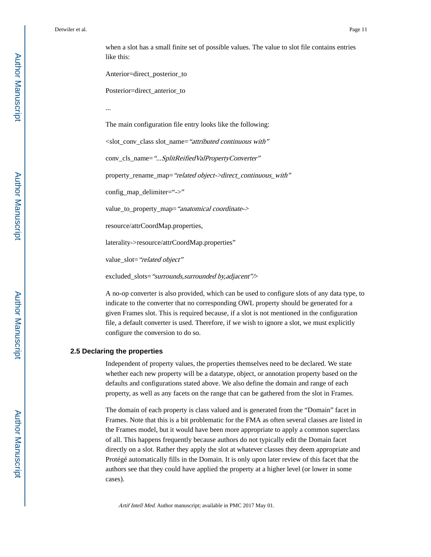when a slot has a small finite set of possible values. The value to slot file contains entries like this:

Anterior=direct\_posterior\_to

Posterior=direct\_anterior\_to

...

The main configuration file entry looks like the following:

<slot\_conv\_class slot\_name="attributed continuous with"

conv\_cls\_name="...SplitReifiedValPropertyConverter"

property\_rename\_map="related object->direct\_continuous\_with"

config\_map\_delimiter="->"

value\_to\_property\_map="anatomical coordinate->

resource/attrCoordMap.properties,

laterality->resource/attrCoordMap.properties"

value\_slot="related object"

excluded\_slots="surrounds,surrounded by,adjacent"/>

A no-op converter is also provided, which can be used to configure slots of any data type, to indicate to the converter that no corresponding OWL property should be generated for a given Frames slot. This is required because, if a slot is not mentioned in the configuration file, a default converter is used. Therefore, if we wish to ignore a slot, we must explicitly configure the conversion to do so.

#### **2.5 Declaring the properties**

Independent of property values, the properties themselves need to be declared. We state whether each new property will be a datatype, object, or annotation property based on the defaults and configurations stated above. We also define the domain and range of each property, as well as any facets on the range that can be gathered from the slot in Frames.

The domain of each property is class valued and is generated from the "Domain" facet in Frames. Note that this is a bit problematic for the FMA as often several classes are listed in the Frames model, but it would have been more appropriate to apply a common superclass of all. This happens frequently because authors do not typically edit the Domain facet directly on a slot. Rather they apply the slot at whatever classes they deem appropriate and Protégé automatically fills in the Domain. It is only upon later review of this facet that the authors see that they could have applied the property at a higher level (or lower in some cases).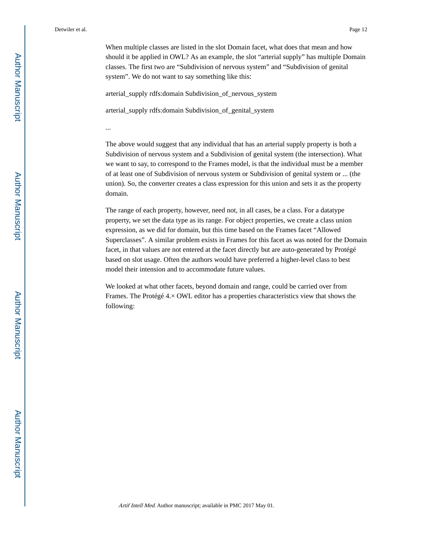When multiple classes are listed in the slot Domain facet, what does that mean and how should it be applied in OWL? As an example, the slot "arterial supply" has multiple Domain classes. The first two are "Subdivision of nervous system" and "Subdivision of genital system". We do not want to say something like this:

arterial\_supply rdfs:domain Subdivision\_of\_nervous\_system

arterial\_supply rdfs:domain Subdivision\_of\_genital\_system

...

The above would suggest that any individual that has an arterial supply property is both a Subdivision of nervous system and a Subdivision of genital system (the intersection). What we want to say, to correspond to the Frames model, is that the individual must be a member of at least one of Subdivision of nervous system or Subdivision of genital system or ... (the union). So, the converter creates a class expression for this union and sets it as the property domain.

The range of each property, however, need not, in all cases, be a class. For a datatype property, we set the data type as its range. For object properties, we create a class union expression, as we did for domain, but this time based on the Frames facet "Allowed Superclasses". A similar problem exists in Frames for this facet as was noted for the Domain facet, in that values are not entered at the facet directly but are auto-generated by Protégé based on slot usage. Often the authors would have preferred a higher-level class to best model their intension and to accommodate future values.

We looked at what other facets, beyond domain and range, could be carried over from Frames. The Protégé  $4 \times$  OWL editor has a properties characteristics view that shows the following: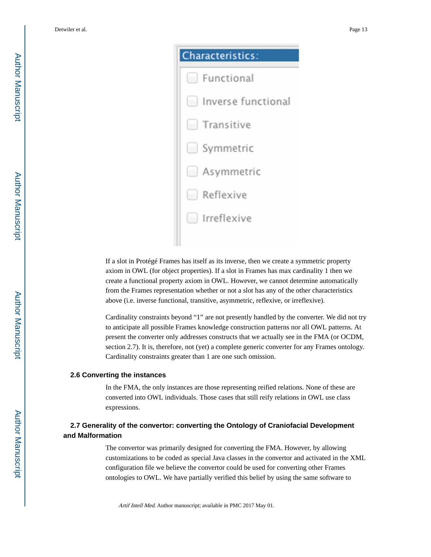| <b>Characteristics:</b> |
|-------------------------|
| Functional              |
| Inverse functional      |
| Transitive              |
| Symmetric               |
| Asymmetric              |
| Reflexive               |
| Irreflexive             |
|                         |

If a slot in Protégé Frames has itself as its inverse, then we create a symmetric property axiom in OWL (for object properties). If a slot in Frames has max cardinality 1 then we create a functional property axiom in OWL. However, we cannot determine automatically from the Frames representation whether or not a slot has any of the other characteristics above (i.e. inverse functional, transitive, asymmetric, reflexive, or irreflexive).

Cardinality constraints beyond "1" are not presently handled by the converter. We did not try to anticipate all possible Frames knowledge construction patterns nor all OWL patterns. At present the converter only addresses constructs that we actually see in the FMA (or OCDM, section 2.7). It is, therefore, not (yet) a complete generic converter for any Frames ontology. Cardinality constraints greater than 1 are one such omission.

#### **2.6 Converting the instances**

In the FMA, the only instances are those representing reified relations. None of these are converted into OWL individuals. Those cases that still reify relations in OWL use class expressions.

## **2.7 Generality of the convertor: converting the Ontology of Craniofacial Development and Malformation**

The convertor was primarily designed for converting the FMA. However, by allowing customizations to be coded as special Java classes in the convertor and activated in the XML configuration file we believe the convertor could be used for converting other Frames ontologies to OWL. We have partially verified this belief by using the same software to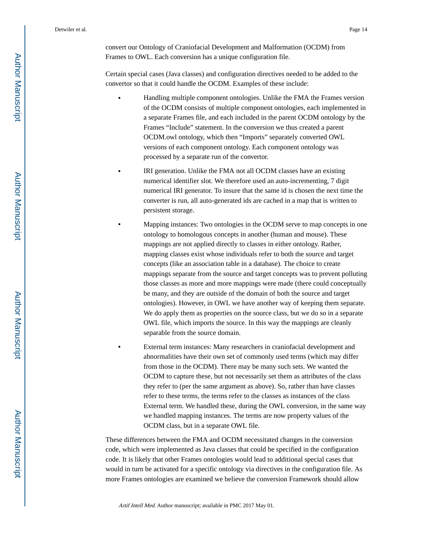convert our Ontology of Craniofacial Development and Malformation (OCDM) from Frames to OWL. Each conversion has a unique configuration file.

Certain special cases (Java classes) and configuration directives needed to be added to the convertor so that it could handle the OCDM. Examples of these include:

- **•** Handling multiple component ontologies. Unlike the FMA the Frames version of the OCDM consists of multiple component ontologies, each implemented in a separate Frames file, and each included in the parent OCDM ontology by the Frames "Include" statement. In the conversion we thus created a parent OCDM.owl ontology, which then "Imports" separately converted OWL versions of each component ontology. Each component ontology was processed by a separate run of the convertor.
- **•** IRI generation. Unlike the FMA not all OCDM classes have an existing numerical identifier slot. We therefore used an auto-incrementing, 7 digit numerical IRI generator. To insure that the same id is chosen the next time the converter is run, all auto-generated ids are cached in a map that is written to persistent storage.
- **•** Mapping instances: Two ontologies in the OCDM serve to map concepts in one ontology to homologous concepts in another (human and mouse). These mappings are not applied directly to classes in either ontology. Rather, mapping classes exist whose individuals refer to both the source and target concepts (like an association table in a database). The choice to create mappings separate from the source and target concepts was to prevent polluting those classes as more and more mappings were made (there could conceptually be many, and they are outside of the domain of both the source and target ontologies). However, in OWL we have another way of keeping them separate. We do apply them as properties on the source class, but we do so in a separate OWL file, which imports the source. In this way the mappings are cleanly separable from the source domain.
	- **•** External term instances: Many researchers in craniofacial development and abnormalities have their own set of commonly used terms (which may differ from those in the OCDM). There may be many such sets. We wanted the OCDM to capture these, but not necessarily set them as attributes of the class they refer to (per the same argument as above). So, rather than have classes refer to these terms, the terms refer to the classes as instances of the class External term. We handled these, during the OWL conversion, in the same way we handled mapping instances. The terms are now property values of the OCDM class, but in a separate OWL file.

These differences between the FMA and OCDM necessitated changes in the conversion code, which were implemented as Java classes that could be specified in the configuration code. It is likely that other Frames ontologies would lead to additional special cases that would in turn be activated for a specific ontology via directives in the configuration file. As more Frames ontologies are examined we believe the conversion Framework should allow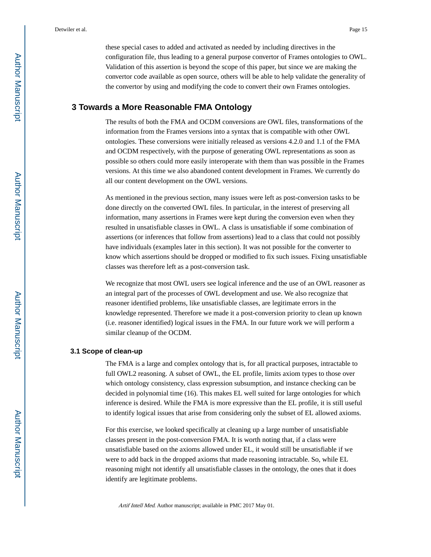these special cases to added and activated as needed by including directives in the configuration file, thus leading to a general purpose convertor of Frames ontologies to OWL. Validation of this assertion is beyond the scope of this paper, but since we are making the convertor code available as open source, others will be able to help validate the generality of the convertor by using and modifying the code to convert their own Frames ontologies.

### **3 Towards a More Reasonable FMA Ontology**

The results of both the FMA and OCDM conversions are OWL files, transformations of the information from the Frames versions into a syntax that is compatible with other OWL ontologies. These conversions were initially released as versions 4.2.0 and 1.1 of the FMA and OCDM respectively, with the purpose of generating OWL representations as soon as possible so others could more easily interoperate with them than was possible in the Frames versions. At this time we also abandoned content development in Frames. We currently do all our content development on the OWL versions.

As mentioned in the previous section, many issues were left as post-conversion tasks to be done directly on the converted OWL files. In particular, in the interest of preserving all information, many assertions in Frames were kept during the conversion even when they resulted in unsatisfiable classes in OWL. A class is unsatisfiable if some combination of assertions (or inferences that follow from assertions) lead to a class that could not possibly have individuals (examples later in this section). It was not possible for the converter to know which assertions should be dropped or modified to fix such issues. Fixing unsatisfiable classes was therefore left as a post-conversion task.

We recognize that most OWL users see logical inference and the use of an OWL reasoner as an integral part of the processes of OWL development and use. We also recognize that reasoner identified problems, like unsatisfiable classes, are legitimate errors in the knowledge represented. Therefore we made it a post-conversion priority to clean up known (i.e. reasoner identified) logical issues in the FMA. In our future work we will perform a similar cleanup of the OCDM.

#### **3.1 Scope of clean-up**

The FMA is a large and complex ontology that is, for all practical purposes, intractable to full OWL2 reasoning. A subset of OWL, the EL profile, limits axiom types to those over which ontology consistency, class expression subsumption, and instance checking can be decided in polynomial time (16). This makes EL well suited for large ontologies for which inference is desired. While the FMA is more expressive than the EL profile, it is still useful to identify logical issues that arise from considering only the subset of EL allowed axioms.

For this exercise, we looked specifically at cleaning up a large number of unsatisfiable classes present in the post-conversion FMA. It is worth noting that, if a class were unsatisfiable based on the axioms allowed under EL, it would still be unsatisfiable if we were to add back in the dropped axioms that made reasoning intractable. So, while EL reasoning might not identify all unsatisfiable classes in the ontology, the ones that it does identify are legitimate problems.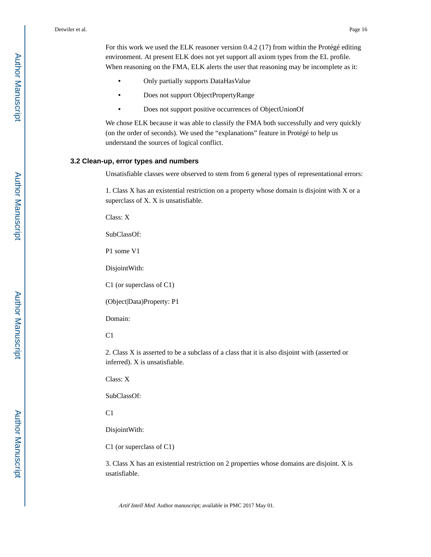For this work we used the ELK reasoner version 0.4.2 (17) from within the Protégé editing environment. At present ELK does not yet support all axiom types from the EL profile. When reasoning on the FMA, ELK alerts the user that reasoning may be incomplete as it:

- **•** Only partially supports DataHasValue
- **•** Does not support ObjectPropertyRange
- **•** Does not support positive occurrences of ObjectUnionOf

We chose ELK because it was able to classify the FMA both successfully and very quickly (on the order of seconds). We used the "explanations" feature in Protégé to help us understand the sources of logical conflict.

#### **3.2 Clean-up, error types and numbers**

Unsatisfiable classes were observed to stem from 6 general types of representational errors:

1. Class X has an existential restriction on a property whose domain is disjoint with X or a superclass of X. X is unsatisfiable.

Class: X

SubClassOf:

P1 some V1

DisjointWith:

C1 (or superclass of C1)

(Object|Data)Property: P1

Domain:

C1

2. Class X is asserted to be a subclass of a class that it is also disjoint with (asserted or inferred). X is unsatisfiable.

Class: X

SubClassOf:

C1

DisjointWith:

C1 (or superclass of C1)

3. Class X has an existential restriction on 2 properties whose domains are disjoint. X is usatisfiable.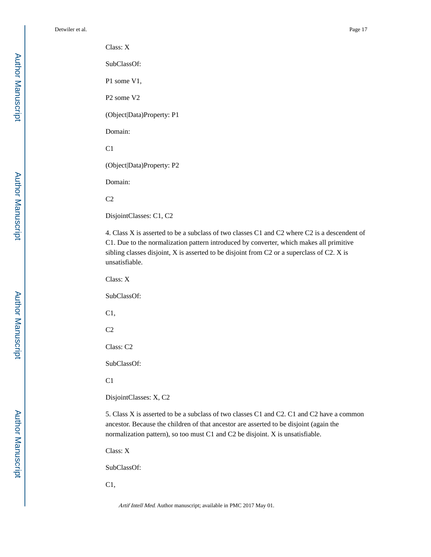Class: X SubClassOf: P1 some V1, P2 some V2 (Object|Data)Property: P1 Domain:  $C<sub>1</sub>$ (Object|Data)Property: P2 Domain:

 $C<sub>2</sub>$ 

DisjointClasses: C1, C2

4. Class X is asserted to be a subclass of two classes C1 and C2 where C2 is a descendent of C1. Due to the normalization pattern introduced by converter, which makes all primitive sibling classes disjoint, X is asserted to be disjoint from C2 or a superclass of C2. X is unsatisfiable.

Class: X

SubClassOf:

C1,

 $C<sub>2</sub>$ 

Class: C2

SubClassOf:

 $C<sub>1</sub>$ 

DisjointClasses: X, C2

5. Class X is asserted to be a subclass of two classes C1 and C2. C1 and C2 have a common ancestor. Because the children of that ancestor are asserted to be disjoint (again the normalization pattern), so too must C1 and C2 be disjoint. X is unsatisfiable.

Class: X

SubClassOf:

C1,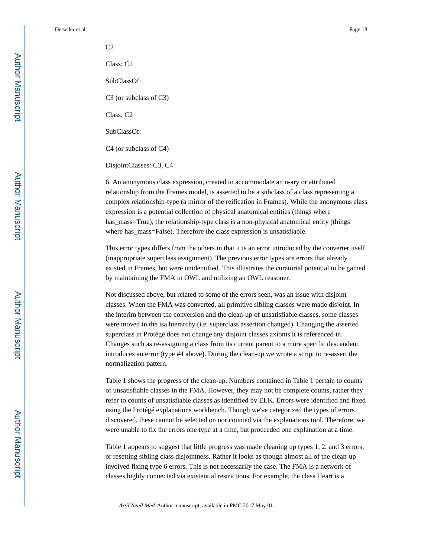#### $C<sub>2</sub>$

Class: C1

SubClassOf:

C3 (or subclass of C3)

Class: C2

SubClassOf:

C4 (or subclass of C4)

DisjointClasses: C3, C4

6. An anonymous class expression, created to accommodate an n-ary or attributed relationship from the Frames model, is asserted to be a subclass of a class representing a complex relationship-type (a mirror of the reification in Frames). While the anonymous class expression is a potential collection of physical anatomical entities (things where has\_mass=True), the relationship-type class is a non-physical anatomical entity (things where has\_mass=False). Therefore the class expression is unsatisfiable.

This error types differs from the others in that it is an error introduced by the converter itself (inappropriate superclass assignment). The previous error types are errors that already existed in Frames, but were unidentified. This illustrates the curatorial potential to be gained by maintaining the FMA in OWL and utilizing an OWL reasoner.

Not discussed above, but related to some of the errors seen, was an issue with disjoint classes. When the FMA was converted, all primitive sibling classes were made disjoint. In the interim between the conversion and the clean-up of unsatisfiable classes, some classes were moved in the isa hierarchy (i.e. superclass assertion changed). Changing the asserted superclass in Protégé does not change any disjoint classes axioms it is referenced in. Changes such as re-assigning a class from its current parent to a more specific descendent introduces an error (type #4 above). During the clean-up we wrote a script to re-assert the normalization pattern.

Table 1 shows the progress of the clean-up. Numbers contained in Table 1 pertain to counts of unsatisfiable classes in the FMA. However, they may not be complete counts, rather they refer to counts of unsatisfiable classes as identified by ELK. Errors were identified and fixed using the Protégé explanations workbench. Though we've categorized the types of errors discovered, these cannot be selected on nor counted via the explanations tool. Therefore, we were unable to fix the errors one type at a time, but proceeded one explanation at a time.

Table 1 appears to suggest that little progress was made cleaning up types 1, 2, and 3 errors, or resetting sibling class disjointness. Rather it looks as though almost all of the clean-up involved fixing type 6 errors. This is not necessarily the case. The FMA is a network of classes highly connected via existential restrictions. For example, the class Heart is a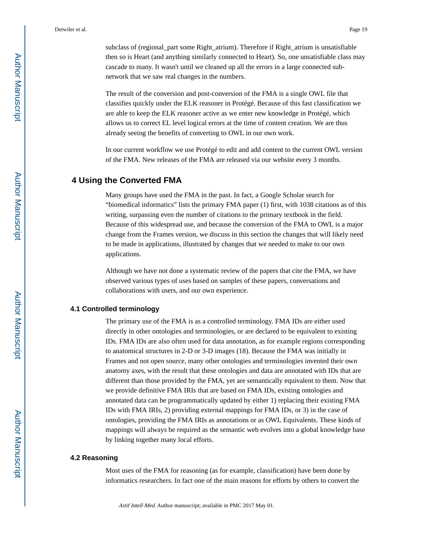subclass of (regional part some Right atrium). Therefore if Right atrium is unsatisfiable then so is Heart (and anything similarly connected to Heart). So, one unsatisfiable class may cascade to many. It wasn't until we cleaned up all the errors in a large connected subnetwork that we saw real changes in the numbers.

The result of the conversion and post-conversion of the FMA is a single OWL file that classifies quickly under the ELK reasoner in Protégé. Because of this fast classification we are able to keep the ELK reasoner active as we enter new knowledge in Protégé, which allows us to correct EL level logical errors at the time of content creation. We are thus already seeing the benefits of converting to OWL in our own work.

In our current workflow we use Protégé to edit and add content to the current OWL version of the FMA. New releases of the FMA are released via our website every 3 months.

## **4 Using the Converted FMA**

Many groups have used the FMA in the past. In fact, a Google Scholar search for "biomedical informatics" lists the primary FMA paper (1) first, with 1038 citations as of this writing, surpassing even the number of citations to the primary textbook in the field. Because of this widespread use, and because the conversion of the FMA to OWL is a major change from the Frames version, we discuss in this section the changes that will likely need to be made in applications, illustrated by changes that we needed to make to our own applications.

Although we have not done a systematic review of the papers that cite the FMA, we have observed various types of uses based on samples of these papers, conversations and collaborations with users, and our own experience.

#### **4.1 Controlled terminology**

The primary use of the FMA is as a controlled terminology. FMA IDs are either used directly in other ontologies and terminologies, or are declared to be equivalent to existing IDs. FMA IDs are also often used for data annotation, as for example regions corresponding to anatomical structures in 2-D or 3-D images (18). Because the FMA was initially in Frames and not open source, many other ontologies and terminologies invented their own anatomy axes, with the result that these ontologies and data are annotated with IDs that are different than those provided by the FMA, yet are semantically equivalent to them. Now that we provide definitive FMA IRIs that are based on FMA IDs, existing ontologies and annotated data can be programmatically updated by either 1) replacing their existing FMA IDs with FMA IRIs, 2) providing external mappings for FMA IDs, or 3) in the case of ontologies, providing the FMA IRIs as annotations or as OWL Equivalents. These kinds of mappings will always be required as the semantic web evolves into a global knowledge base by linking together many local efforts.

## **4.2 Reasoning**

Most uses of the FMA for reasoning (as for example, classification) have been done by informatics researchers. In fact one of the main reasons for efforts by others to convert the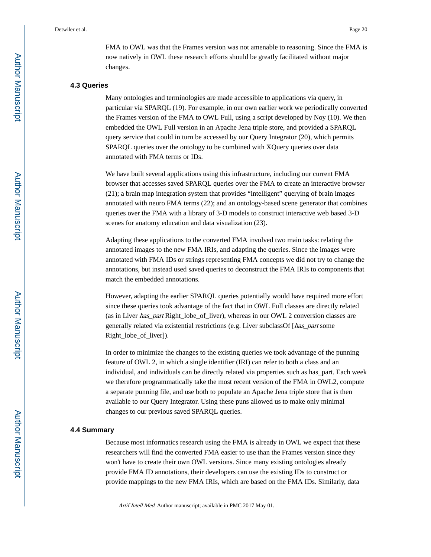FMA to OWL was that the Frames version was not amenable to reasoning. Since the FMA is now natively in OWL these research efforts should be greatly facilitated without major changes.

#### **4.3 Queries**

Many ontologies and terminologies are made accessible to applications via query, in particular via SPARQL (19). For example, in our own earlier work we periodically converted the Frames version of the FMA to OWL Full, using a script developed by Noy (10). We then embedded the OWL Full version in an Apache Jena triple store, and provided a SPARQL query service that could in turn be accessed by our Query Integrator (20), which permits SPARQL queries over the ontology to be combined with XQuery queries over data annotated with FMA terms or IDs.

We have built several applications using this infrastructure, including our current FMA browser that accesses saved SPARQL queries over the FMA to create an interactive browser (21); a brain map integration system that provides "intelligent" querying of brain images annotated with neuro FMA terms (22); and an ontology-based scene generator that combines queries over the FMA with a library of 3-D models to construct interactive web based 3-D scenes for anatomy education and data visualization (23).

Adapting these applications to the converted FMA involved two main tasks: relating the annotated images to the new FMA IRIs, and adapting the queries. Since the images were annotated with FMA IDs or strings representing FMA concepts we did not try to change the annotations, but instead used saved queries to deconstruct the FMA IRIs to components that match the embedded annotations.

However, adapting the earlier SPARQL queries potentially would have required more effort since these queries took advantage of the fact that in OWL Full classes are directly related (as in Liver has\_part Right\_lobe\_of\_liver), whereas in our OWL 2 conversion classes are generally related via existential restrictions (e.g. Liver subclassOf [has\_part some Right\_lobe\_of\_liver]).

In order to minimize the changes to the existing queries we took advantage of the punning feature of OWL 2, in which a single identifier (IRI) can refer to both a class and an individual, and individuals can be directly related via properties such as has\_part. Each week we therefore programmatically take the most recent version of the FMA in OWL2, compute a separate punning file, and use both to populate an Apache Jena triple store that is then available to our Query Integrator. Using these puns allowed us to make only minimal changes to our previous saved SPARQL queries.

#### **4.4 Summary**

Because most informatics research using the FMA is already in OWL we expect that these researchers will find the converted FMA easier to use than the Frames version since they won't have to create their own OWL versions. Since many existing ontologies already provide FMA ID annotations, their developers can use the existing IDs to construct or provide mappings to the new FMA IRIs, which are based on the FMA IDs. Similarly, data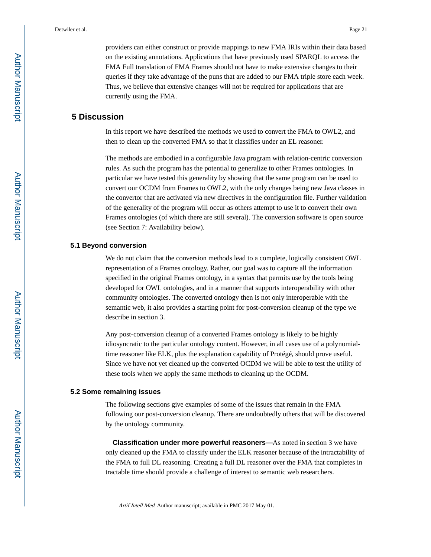providers can either construct or provide mappings to new FMA IRIs within their data based on the existing annotations. Applications that have previously used SPARQL to access the FMA Full translation of FMA Frames should not have to make extensive changes to their queries if they take advantage of the puns that are added to our FMA triple store each week. Thus, we believe that extensive changes will not be required for applications that are currently using the FMA.

## **5 Discussion**

In this report we have described the methods we used to convert the FMA to OWL2, and then to clean up the converted FMA so that it classifies under an EL reasoner.

The methods are embodied in a configurable Java program with relation-centric conversion rules. As such the program has the potential to generalize to other Frames ontologies. In particular we have tested this generality by showing that the same program can be used to convert our OCDM from Frames to OWL2, with the only changes being new Java classes in the convertor that are activated via new directives in the configuration file. Further validation of the generality of the program will occur as others attempt to use it to convert their own Frames ontologies (of which there are still several). The conversion software is open source (see Section 7: Availability below).

#### **5.1 Beyond conversion**

We do not claim that the conversion methods lead to a complete, logically consistent OWL representation of a Frames ontology. Rather, our goal was to capture all the information specified in the original Frames ontology, in a syntax that permits use by the tools being developed for OWL ontologies, and in a manner that supports interoperability with other community ontologies. The converted ontology then is not only interoperable with the semantic web, it also provides a starting point for post-conversion cleanup of the type we describe in section 3.

Any post-conversion cleanup of a converted Frames ontology is likely to be highly idiosyncratic to the particular ontology content. However, in all cases use of a polynomialtime reasoner like ELK, plus the explanation capability of Protégé, should prove useful. Since we have not yet cleaned up the converted OCDM we will be able to test the utility of these tools when we apply the same methods to cleaning up the OCDM.

#### **5.2 Some remaining issues**

The following sections give examples of some of the issues that remain in the FMA following our post-conversion cleanup. There are undoubtedly others that will be discovered by the ontology community.

 **Classification under more powerful reasoners—**As noted in section 3 we have only cleaned up the FMA to classify under the ELK reasoner because of the intractability of the FMA to full DL reasoning. Creating a full DL reasoner over the FMA that completes in tractable time should provide a challenge of interest to semantic web researchers.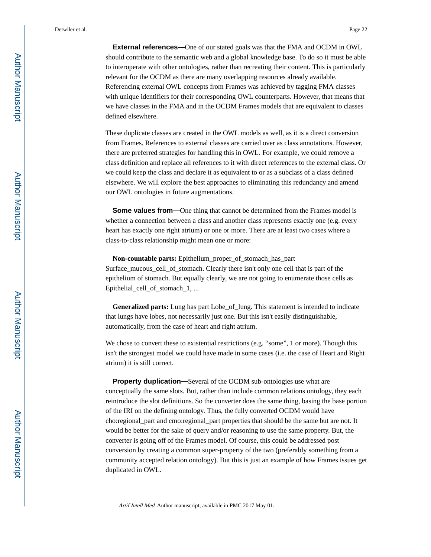**External references—**One of our stated goals was that the FMA and OCDM in OWL should contribute to the semantic web and a global knowledge base. To do so it must be able to interoperate with other ontologies, rather than recreating their content. This is particularly relevant for the OCDM as there are many overlapping resources already available. Referencing external OWL concepts from Frames was achieved by tagging FMA classes with unique identifiers for their corresponding OWL counterparts. However, that means that we have classes in the FMA and in the OCDM Frames models that are equivalent to classes defined elsewhere.

These duplicate classes are created in the OWL models as well, as it is a direct conversion from Frames. References to external classes are carried over as class annotations. However, there are preferred strategies for handling this in OWL. For example, we could remove a class definition and replace all references to it with direct references to the external class. Or we could keep the class and declare it as equivalent to or as a subclass of a class defined elsewhere. We will explore the best approaches to eliminating this redundancy and amend our OWL ontologies in future augmentations.

**Some values from—**One thing that cannot be determined from the Frames model is whether a connection between a class and another class represents exactly one (e.g. every heart has exactly one right atrium) or one or more. There are at least two cases where a class-to-class relationship might mean one or more:

**Non-countable parts:** Epithelium\_proper\_of\_stomach\_has\_part Surface\_mucous\_cell\_of\_stomach. Clearly there isn't only one cell that is part of the epithelium of stomach. But equally clearly, we are not going to enumerate those cells as Epithelial\_cell\_of\_stomach\_1, ...

**Generalized parts:** Lung has part Lobe\_of\_lung. This statement is intended to indicate that lungs have lobes, not necessarily just one. But this isn't easily distinguishable, automatically, from the case of heart and right atrium.

We chose to convert these to existential restrictions (e.g. "some", 1 or more). Though this isn't the strongest model we could have made in some cases (i.e. the case of Heart and Right atrium) it is still correct.

**Property duplication—Several of the OCDM sub-ontologies use what are** conceptually the same slots. But, rather than include common relations ontology, they each reintroduce the slot definitions. So the converter does the same thing, basing the base portion of the IRI on the defining ontology. Thus, the fully converted OCDM would have cho:regional\_part and cmo:regional\_part properties that should be the same but are not. It would be better for the sake of query and/or reasoning to use the same property. But, the converter is going off of the Frames model. Of course, this could be addressed post conversion by creating a common super-property of the two (preferably something from a community accepted relation ontology). But this is just an example of how Frames issues get duplicated in OWL.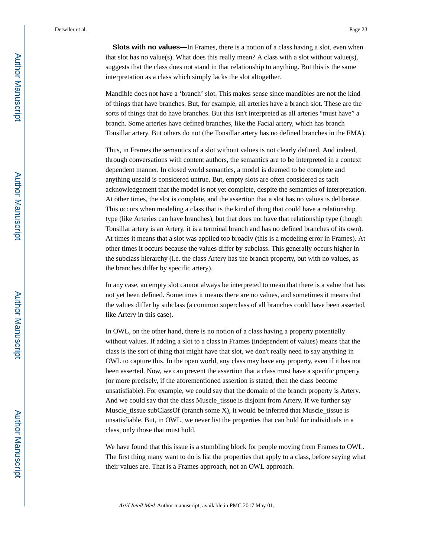**Slots with no values—**In Frames, there is a notion of a class having a slot, even when that slot has no value(s). What does this really mean? A class with a slot without value(s), suggests that the class does not stand in that relationship to anything. But this is the same interpretation as a class which simply lacks the slot altogether.

Mandible does not have a 'branch' slot. This makes sense since mandibles are not the kind of things that have branches. But, for example, all arteries have a branch slot. These are the sorts of things that do have branches. But this isn't interpreted as all arteries "must have" a branch. Some arteries have defined branches, like the Facial artery, which has branch Tonsillar artery. But others do not (the Tonsillar artery has no defined branches in the FMA).

Thus, in Frames the semantics of a slot without values is not clearly defined. And indeed, through conversations with content authors, the semantics are to be interpreted in a context dependent manner. In closed world semantics, a model is deemed to be complete and anything unsaid is considered untrue. But, empty slots are often considered as tacit acknowledgement that the model is not yet complete, despite the semantics of interpretation. At other times, the slot is complete, and the assertion that a slot has no values is deliberate. This occurs when modeling a class that is the kind of thing that could have a relationship type (like Arteries can have branches), but that does not have that relationship type (though Tonsillar artery is an Artery, it is a terminal branch and has no defined branches of its own). At times it means that a slot was applied too broadly (this is a modeling error in Frames). At other times it occurs because the values differ by subclass. This generally occurs higher in the subclass hierarchy (i.e. the class Artery has the branch property, but with no values, as the branches differ by specific artery).

In any case, an empty slot cannot always be interpreted to mean that there is a value that has not yet been defined. Sometimes it means there are no values, and sometimes it means that the values differ by subclass (a common superclass of all branches could have been asserted, like Artery in this case).

In OWL, on the other hand, there is no notion of a class having a property potentially without values. If adding a slot to a class in Frames (independent of values) means that the class is the sort of thing that might have that slot, we don't really need to say anything in OWL to capture this. In the open world, any class may have any property, even if it has not been asserted. Now, we can prevent the assertion that a class must have a specific property (or more precisely, if the aforementioned assertion is stated, then the class become unsatisfiable). For example, we could say that the domain of the branch property is Artery. And we could say that the class Muscle\_tissue is disjoint from Artery. If we further say Muscle\_tissue subClassOf (branch some X), it would be inferred that Muscle\_tissue is unsatisfiable. But, in OWL, we never list the properties that can hold for individuals in a class, only those that must hold.

We have found that this issue is a stumbling block for people moving from Frames to OWL. The first thing many want to do is list the properties that apply to a class, before saying what their values are. That is a Frames approach, not an OWL approach.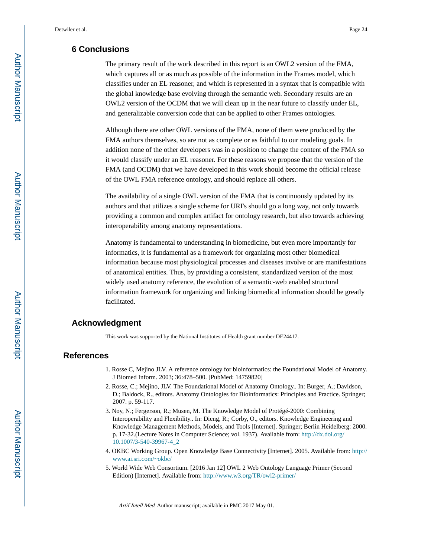## **6 Conclusions**

The primary result of the work described in this report is an OWL2 version of the FMA, which captures all or as much as possible of the information in the Frames model, which classifies under an EL reasoner, and which is represented in a syntax that is compatible with the global knowledge base evolving through the semantic web. Secondary results are an OWL2 version of the OCDM that we will clean up in the near future to classify under EL, and generalizable conversion code that can be applied to other Frames ontologies.

Although there are other OWL versions of the FMA, none of them were produced by the FMA authors themselves, so are not as complete or as faithful to our modeling goals. In addition none of the other developers was in a position to change the content of the FMA so it would classify under an EL reasoner. For these reasons we propose that the version of the FMA (and OCDM) that we have developed in this work should become the official release of the OWL FMA reference ontology, and should replace all others.

The availability of a single OWL version of the FMA that is continuously updated by its authors and that utilizes a single scheme for URI's should go a long way, not only towards providing a common and complex artifact for ontology research, but also towards achieving interoperability among anatomy representations.

Anatomy is fundamental to understanding in biomedicine, but even more importantly for informatics, it is fundamental as a framework for organizing most other biomedical information because most physiological processes and diseases involve or are manifestations of anatomical entities. Thus, by providing a consistent, standardized version of the most widely used anatomy reference, the evolution of a semantic-web enabled structural information framework for organizing and linking biomedical information should be greatly facilitated.

## **Acknowledgment**

This work was supported by the National Institutes of Health grant number DE24417.

## **References**

- 1. Rosse C, Mejino JLV. A reference ontology for bioinformatics: the Foundational Model of Anatomy. J Biomed Inform. 2003; 36:478–500. [PubMed: 14759820]
- 2. Rosse, C.; Mejino, JLV. The Foundational Model of Anatomy Ontology.. In: Burger, A.; Davidson, D.; Baldock, R., editors. Anatomy Ontologies for Bioinformatics: Principles and Practice. Springer; 2007. p. 59-117.
- 3. Noy, N.; Fergerson, R.; Musen, M. The Knowledge Model of Protégé-2000: Combining Interoperability and Flexibility.. In: Dieng, R.; Corby, O., editors. Knowledge Engineering and Knowledge Management Methods, Models, and Tools [Internet]. Springer; Berlin Heidelberg: 2000. p. 17-32.(Lecture Notes in Computer Science; vol. 1937). Available from: [http://dx.doi.org/](http://dx.doi.org/10.1007/3-540-39967-4_2) [10.1007/3-540-39967-4\\_2](http://dx.doi.org/10.1007/3-540-39967-4_2)
- 4. OKBC Working Group. Open Knowledge Base Connectivity [Internet]. 2005. Available from: [http://](http://www.ai.sri.com/~okbc/) [www.ai.sri.com/~okbc/](http://www.ai.sri.com/~okbc/)
- 5. World Wide Web Consortium. [2016 Jan 12] OWL 2 Web Ontology Language Primer (Second Edition) [Internet]. Available from: <http://www.w3.org/TR/owl2-primer/>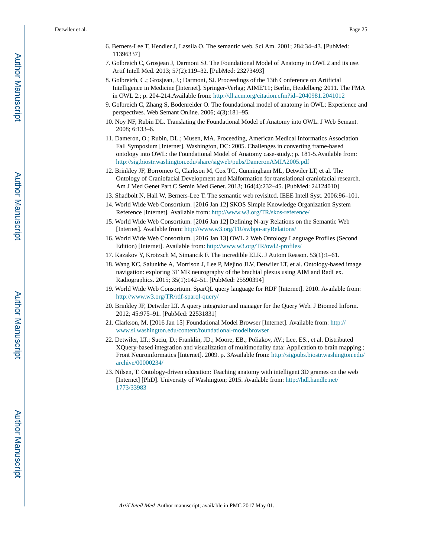- 6. Berners-Lee T, Hendler J, Lassila O. The semantic web. Sci Am. 2001; 284:34–43. [PubMed: 11396337]
- 7. Golbreich C, Grosjean J, Darmoni SJ. The Foundational Model of Anatomy in OWL2 and its use. Artif Intell Med. 2013; 57(2):119–32. [PubMed: 23273493]
- 8. Golbreich, C.; Grosjean, J.; Darmoni, SJ. Proceedings of the 13th Conference on Artificial Intelligence in Medicine [Internet]. Springer-Verlag; AIME'11; Berlin, Heidelberg: 2011. The FMA in OWL 2.; p. 204-214.Available from:<http://dl.acm.org/citation.cfm?id=2040981.2041012>
- 9. Golbreich C, Zhang S, Bodenreider O. The foundational model of anatomy in OWL: Experience and perspectives. Web Semant Online. 2006; 4(3):181–95.
- 10. Noy NF, Rubin DL. Translating the Foundational Model of Anatomy into OWL. J Web Semant. 2008; 6:133–6.
- 11. Dameron, O.; Rubin, DL.; Musen, MA. Proceeding, American Medical Informatics Association Fall Symposium [Internet]. Washington, DC: 2005. Challenges in converting frame-based ontology into OWL: the Foundational Model of Anatomy case-study.; p. 181-5.Available from: <http://sig.biostr.washington.edu/share/sigweb/pubs/DameronAMIA2005.pdf>
- 12. Brinkley JF, Borromeo C, Clarkson M, Cox TC, Cunningham ML, Detwiler LT, et al. The Ontology of Craniofacial Development and Malformation for translational craniofacial research. Am J Med Genet Part C Semin Med Genet. 2013; 164(4):232–45. [PubMed: 24124010]
- 13. Shadbolt N, Hall W, Berners-Lee T. The semantic web revisited. IEEE Intell Syst. 2006:96–101.
- 14. World Wide Web Consortium. [2016 Jan 12] SKOS Simple Knowledge Organization System Reference [Internet]. Available from: <http://www.w3.org/TR/skos-reference/>
- 15. World Wide Web Consortium. [2016 Jan 12] Defining N-ary Relations on the Semantic Web [Internet]. Available from:<http://www.w3.org/TR/swbpn-aryRelations/>
- 16. World Wide Web Consortium. [2016 Jan 13] OWL 2 Web Ontology Language Profiles (Second Edition) [Internet]. Available from: <http://www.w3.org/TR/owl2-profiles/>
- 17. Kazakov Y, Krotzsch M, Simancik F. The incredible ELK. J Autom Reason. 53(1):1–61.
- 18. Wang KC, Salunkhe A, Morrison J, Lee P, Mejino JLV, Detwiler LT, et al. Ontology-based image navigation: exploring 3T MR neurography of the brachial plexus using AIM and RadLex. Radiographics. 2015; 35(1):142–51. [PubMed: 25590394]
- 19. World Wide Web Consortium. SparQL query language for RDF [Internet]. 2010. Available from: <http://www.w3.org/TR/rdf-sparql-query/>
- 20. Brinkley JF, Detwiler LT. A query integrator and manager for the Query Web. J Biomed Inform. 2012; 45:975–91. [PubMed: 22531831]
- 21. Clarkson, M. [2016 Jan 15] Foundational Model Browser [Internet]. Available from: [http://](http://www.si.washington.edu/content/foundational-modelbrowser) [www.si.washington.edu/content/foundational-modelbrowser](http://www.si.washington.edu/content/foundational-modelbrowser)
- 22. Detwiler, LT.; Suciu, D.; Franklin, JD.; Moore, EB.; Poliakov, AV.; Lee, ES., et al. Distributed XQuery-based integration and visualization of multimodality data: Application to brain mapping.; Front Neuroinformatics [Internet]. 2009. p. 3Available from: [http://sigpubs.biostr.washington.edu/](http://sigpubs.biostr.washington.edu/archive/00000234/) [archive/00000234/](http://sigpubs.biostr.washington.edu/archive/00000234/)
- 23. Nilsen, T. Ontology-driven education: Teaching anatomy with intelligent 3D grames on the web [Internet] [PhD]. University of Washington; 2015. Available from: [http://hdl.handle.net/](http://hdl.handle.net/1773/33983) [1773/33983](http://hdl.handle.net/1773/33983)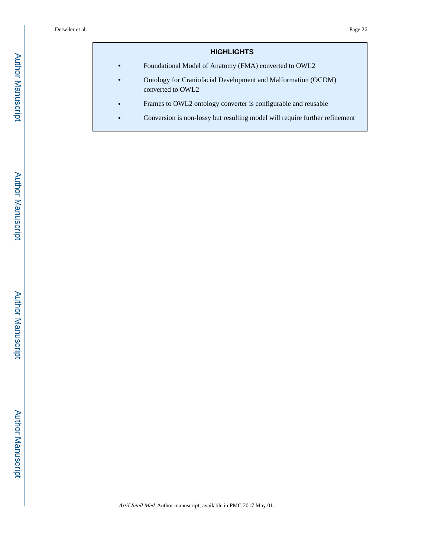## **HIGHLIGHTS**

- **•** Foundational Model of Anatomy (FMA) converted to OWL2
- **•** Ontology for Craniofacial Development and Malformation (OCDM) converted to OWL2
- **•** Frames to OWL2 ontology converter is configurable and reusable
- **•** Conversion is non-lossy but resulting model will require further refinement